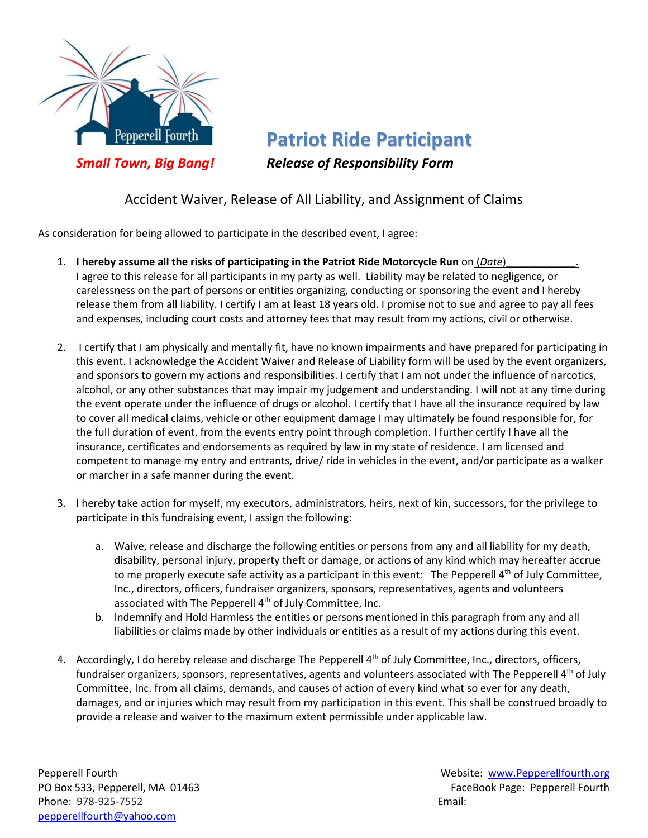

**Patriot Ride Participant** *Small Town, Big Bang! Release of Responsibility Form*

## Accident Waiver, Release of All Liability, and Assignment of Claims

As consideration for being allowed to participate in the described event, I agree:

- 1. **I hereby assume all the risks of participating in the Patriot Ride Motorcycle Run** on (*Date*) I agree to this release for all participants in my party as well. Liability may be related to negligence, or carelessness on the part of persons or entities organizing, conducting or sponsoring the event and I hereby release them from all liability. I certify I am at least 18 years old. I promise not to sue and agree to pay all fees and expenses, including court costs and attorney fees that may result from my actions, civil or otherwise.
- 2. I certify that I am physically and mentally fit, have no known impairments and have prepared for participating in this event. I acknowledge the Accident Waiver and Release of Liability form will be used by the event organizers, and sponsors to govern my actions and responsibilities. I certify that I am not under the influence of narcotics, alcohol, or any other substances that may impair my judgement and understanding. I will not at any time during the event operate under the influence of drugs or alcohol. I certify that I have all the insurance required by law to cover all medical claims, vehicle or other equipment damage I may ultimately be found responsible for, for the full duration of event, from the events entry point through completion. I further certify I have all the insurance, certificates and endorsements as required by law in my state of residence. I am licensed and competent to manage my entry and entrants, drive/ ride in vehicles in the event, and/or participate as a walker or marcher in a safe manner during the event.
- 3. I hereby take action for myself, my executors, administrators, heirs, next of kin, successors, for the privilege to participate in this fundraising event, I assign the following:
	- a. Waive, release and discharge the following entities or persons from any and all liability for my death, disability, personal injury, property theft or damage, or actions of any kind which may hereafter accrue to me properly execute safe activity as a participant in this event: The Pepperell 4<sup>th</sup> of July Committee, Inc., directors, officers, fundraiser organizers, sponsors, representatives, agents and volunteers associated with The Pepperell 4<sup>th</sup> of July Committee, Inc.
	- b. Indemnify and Hold Harmless the entities or persons mentioned in this paragraph from any and all liabilities or claims made by other individuals or entities as a result of my actions during this event.
- 4. Accordingly, I do hereby release and discharge The Pepperell 4<sup>th</sup> of July Committee, Inc., directors, officers, fundraiser organizers, sponsors, representatives, agents and volunteers associated with The Pepperell 4<sup>th</sup> of July Committee, Inc. from all claims, demands, and causes of action of every kind what so ever for any death, damages, and or injuries which may result from my participation in this event. This shall be construed broadly to provide a release and waiver to the maximum extent permissible under applicable law.